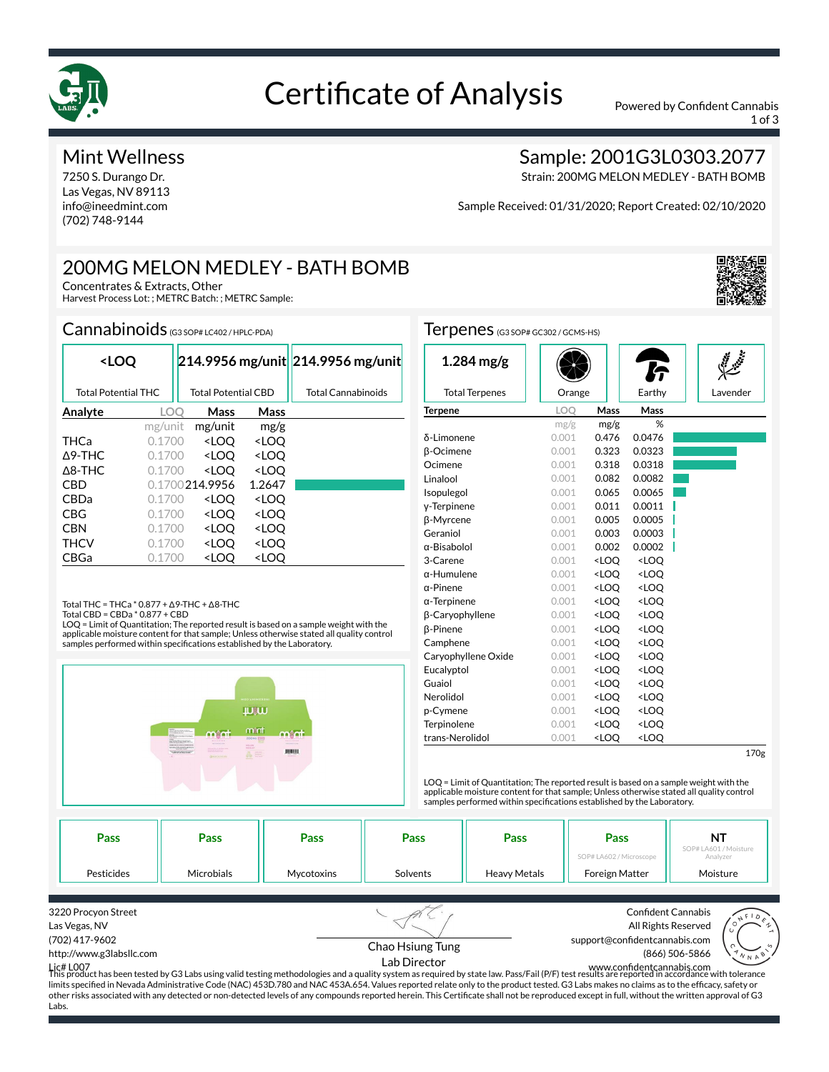

# Certificate of Analysis Powered by Confident Cannabis

1 of 3

### Mint Wellness

7250 S. Durango Dr. Las Vegas, NV 89113 info@ineedmint.com (702) 748-9144

## Sample: 2001G3L0303.2077

Strain: 200MG MELON MEDLEY - BATH BOMB

Sample Received: 01/31/2020; Report Created: 02/10/2020

# 200MG MELON MEDLEY - BATH BOMB

Concentrates & Extracts, Other Harvest Process Lot: ; METRC Batch: ; METRC Sample:

#### Cannabinoids (G3 SOP# LC402 / HPLC-PDA)

| <loq< th=""><th></th><th></th><th></th><th>214.9956 mg/unit 214.9956 mg/unit</th></loq<> |         |                                                          |                              | 214.9956 mg/unit 214.9956 mg/unit |
|------------------------------------------------------------------------------------------|---------|----------------------------------------------------------|------------------------------|-----------------------------------|
| <b>Total Potential THC</b>                                                               |         | <b>Total Potential CBD</b>                               |                              | <b>Total Cannabinoids</b>         |
| Analyte                                                                                  | LOO     | Mass                                                     | Mass                         |                                   |
|                                                                                          | mg/unit | mg/unit                                                  | mg/g                         |                                   |
| <b>THCa</b>                                                                              | 0.1700  | <loo< th=""><th><loo< th=""><th></th></loo<></th></loo<> | <loo< th=""><th></th></loo<> |                                   |
| $\Lambda$ 9-THC                                                                          | 0.1700  | <loo< th=""><th><loo< th=""><th></th></loo<></th></loo<> | <loo< th=""><th></th></loo<> |                                   |
| A8-THC                                                                                   | 0.1700  | <loo< th=""><th><loo< th=""><th></th></loo<></th></loo<> | <loo< th=""><th></th></loo<> |                                   |
| CBD                                                                                      |         | 0.1700214.9956                                           | 1.2647                       |                                   |
| <b>CBDa</b>                                                                              | 0.1700  | <loo< th=""><th><loo< th=""><th></th></loo<></th></loo<> | <loo< th=""><th></th></loo<> |                                   |
| CBG                                                                                      | 0.1700  | <loo< th=""><th><loo< th=""><th></th></loo<></th></loo<> | <loo< th=""><th></th></loo<> |                                   |
| <b>CBN</b>                                                                               | 0.1700  | <loo< th=""><th><loo< th=""><th></th></loo<></th></loo<> | <loo< th=""><th></th></loo<> |                                   |
| <b>THCV</b>                                                                              | 0.1700  | <loo< th=""><th><loo< th=""><th></th></loo<></th></loo<> | <loo< th=""><th></th></loo<> |                                   |
| CBGa                                                                                     | 0.1700  | <loo< th=""><th><loo< th=""><th></th></loo<></th></loo<> | <loo< th=""><th></th></loo<> |                                   |

Total THC = THCa \* 0.877 + ∆9-THC + ∆8-THC Total CBD = CBDa \* 0.877 + CBD

LOQ = Limit of Quantitation; The reported result is based on a sample weight with the applicable moisture content for that sample; Unless otherwise stated all quality control<br>samples performed within specifications established by the Laboratory.



| $1.284$ mg/g          |            |                                                          |                              |          |
|-----------------------|------------|----------------------------------------------------------|------------------------------|----------|
| <b>Total Terpenes</b> | Orange     |                                                          | Earthy                       | Lavender |
| <b>Terpene</b>        | <b>LOO</b> | Mass                                                     | Mass                         |          |
|                       | mg/g       | mg/g                                                     | %                            |          |
| δ-Limonene            | 0.001      | 0.476                                                    | 0.0476                       |          |
| <b>B-Ocimene</b>      | 0.001      | 0.323                                                    | 0.0323                       |          |
| Ocimene               | 0.001      | 0.318                                                    | 0.0318                       |          |
| Linalool              | 0.001      | 0.082                                                    | 0.0082                       |          |
| Isopulegol            | 0.001      | 0.065                                                    | 0.0065                       |          |
| y-Terpinene           | 0.001      | 0.011                                                    | 0.0011                       |          |
| <b>B-Myrcene</b>      | 0.001      | 0.005                                                    | 0.0005                       |          |
| Geraniol              | 0.001      | 0.003                                                    | 0.0003                       |          |
| $\alpha$ -Bisabolol   | 0.001      | 0.002                                                    | 0.0002                       |          |
| 3-Carene              | 0.001      | <loo< th=""><th><loq< th=""><th></th></loq<></th></loo<> | <loq< th=""><th></th></loq<> |          |
| $\alpha$ -Humulene    | 0.001      | <loo< th=""><th><loq< th=""><th></th></loq<></th></loo<> | <loq< th=""><th></th></loq<> |          |
| $\alpha$ -Pinene      | 0.001      | <loq< th=""><th><loq< th=""><th></th></loq<></th></loq<> | <loq< th=""><th></th></loq<> |          |
| $\alpha$ -Terpinene   | 0.001      | <loq< th=""><th><loq< th=""><th></th></loq<></th></loq<> | <loq< th=""><th></th></loq<> |          |
| β-Caryophyllene       | 0.001      | <loq< th=""><th><loq< th=""><th></th></loq<></th></loq<> | <loq< th=""><th></th></loq<> |          |
| <b>B-Pinene</b>       | 0.001      | <loo< th=""><th><loo< th=""><th></th></loo<></th></loo<> | <loo< th=""><th></th></loo<> |          |
| Camphene              | 0.001      | <loo< th=""><th><loq< th=""><th></th></loq<></th></loo<> | <loq< th=""><th></th></loq<> |          |
| Caryophyllene Oxide   | 0.001      | <loq< th=""><th><loq< th=""><th></th></loq<></th></loq<> | <loq< th=""><th></th></loq<> |          |
| Eucalyptol            | 0.001      | <loq< th=""><th><loq< th=""><th></th></loq<></th></loq<> | <loq< th=""><th></th></loq<> |          |
| Guaiol                | 0.001      | <loo< th=""><th><loo< th=""><th></th></loo<></th></loo<> | <loo< th=""><th></th></loo<> |          |
| Nerolidol             | 0.001      | <loq< th=""><th><loq< th=""><th></th></loq<></th></loq<> | <loq< th=""><th></th></loq<> |          |
| p-Cymene              | 0.001      | <loo< th=""><th><loq< th=""><th></th></loq<></th></loo<> | <loq< th=""><th></th></loq<> |          |
| Terpinolene           | 0.001      | <loo< th=""><th><loq< th=""><th></th></loq<></th></loo<> | <loq< th=""><th></th></loq<> |          |
| trans-Nerolidol       | 0.001      | <loq< th=""><th><loq< th=""><th></th></loq<></th></loq<> | <loq< th=""><th></th></loq<> |          |

170g

LOQ = Limit of Quantitation; The reported result is based on a sample weight with the applicable moisture content for that sample; Unless otherwise stated all quality control<br>samples performed within specifications established by the Laboratory.

| Pass       | <b>Pass</b> | <b>Pass</b>       | Pass     | Pass                | Pass                    | NT<br>SOP# LA601 / Moisture |
|------------|-------------|-------------------|----------|---------------------|-------------------------|-----------------------------|
|            |             |                   |          |                     | SOP# LA602 / Microscope | Analyzer                    |
| Pesticides | Microbials  | <b>Mycotoxins</b> | Solvents | <b>Heavy Metals</b> | Foreign Matter          | Moisture                    |

| 3220 Procyon Street                                                                                                                                                                                          |                  | <b>Confident Cannabis</b>     |
|--------------------------------------------------------------------------------------------------------------------------------------------------------------------------------------------------------------|------------------|-------------------------------|
| Las Vegas, NV                                                                                                                                                                                                |                  | All Rights Reserved           |
| (702) 417-9602                                                                                                                                                                                               |                  | support@confidentcannabis.com |
| http://www.g3labsllc.com                                                                                                                                                                                     | Chao Hsiung Tung | (866) 506-5866                |
| Lic# L007<br>This product has been tested by G3 Labs using valid testing methodologies and a quality system as required by state law. Pass/Fail (P/F) test results are reported in accordance with tolerance | Lab Director     |                               |
|                                                                                                                                                                                                              |                  |                               |
| limits specified in Nevada Administrative Code (NAC) 453D.780 and NAC 453A.654. Values reported relate only to the product tested. G3 Labs makes no claims as to the efficacy, safety or                     |                  |                               |
| other risks associated with any detected or non-detected levels of any compounds reported herein. This Certificate shall not be reproduced except in full, without the written approval of G3                |                  |                               |
| Labs.                                                                                                                                                                                                        |                  |                               |

#### Terpenes (G3 SOP# GC302 / GCMS-HS)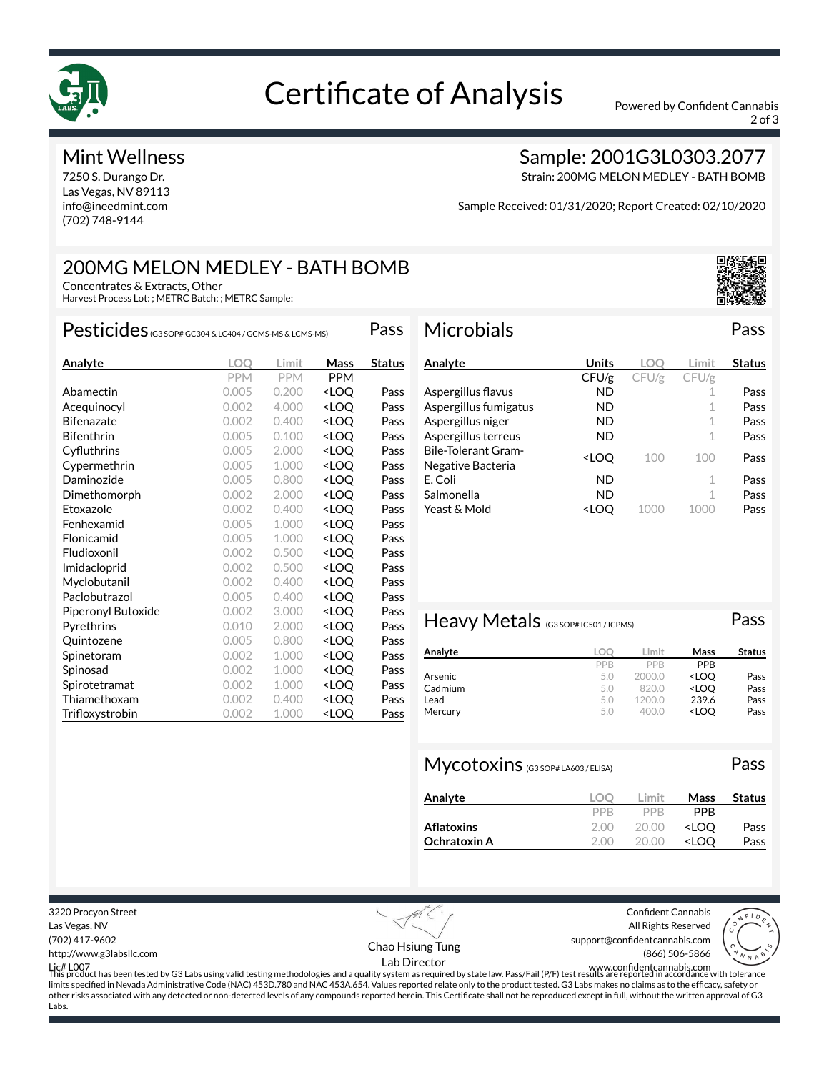

# Certificate of Analysis Powered by Confident Cannabis

2 of 3

#### Mint Wellness

7250 S. Durango Dr. Las Vegas, NV 89113 info@ineedmint.com (702) 748-9144

### Sample: 2001G3L0303.2077

Strain: 200MG MELON MEDLEY - BATH BOMB

Sample Received: 01/31/2020; Report Created: 02/10/2020

# 200MG MELON MEDLEY - BATH BOMB

Concentrates & Extracts, Other

Harvest Process Lot: ; METRC Batch: ; METRC Sample:

#### Pesticides(G3 SOP# GC304 & LC404 / GCMS-MS & LCMS-MS) Pass

| Analyte            | LOO        | Limit      | Mass                             | <b>Status</b> |
|--------------------|------------|------------|----------------------------------|---------------|
|                    | <b>PPM</b> | <b>PPM</b> | <b>PPM</b>                       |               |
| Abamectin          | 0.005      | 0.200      | <loq< th=""><th>Pass</th></loq<> | Pass          |
| Acequinocyl        | 0.002      | 4.000      | <loq< th=""><th>Pass</th></loq<> | Pass          |
| <b>Bifenazate</b>  | 0.002      | 0.400      | <loo< th=""><th>Pass</th></loo<> | Pass          |
| <b>Bifenthrin</b>  | 0.005      | 0.100      | <loq< th=""><th>Pass</th></loq<> | Pass          |
| Cyfluthrins        | 0.005      | 2.000      | <loq< th=""><th>Pass</th></loq<> | Pass          |
| Cypermethrin       | 0.005      | 1.000      | <loq< th=""><th>Pass</th></loq<> | Pass          |
| Daminozide         | 0.005      | 0.800      | <loq< th=""><th>Pass</th></loq<> | Pass          |
| Dimethomorph       | 0.002      | 2.000      | <loq< th=""><th>Pass</th></loq<> | Pass          |
| Etoxazole          | 0.002      | 0.400      | <loq< th=""><th>Pass</th></loq<> | Pass          |
| Fenhexamid         | 0.005      | 1.000      | <loo< th=""><th>Pass</th></loo<> | Pass          |
| Flonicamid         | 0.005      | 1.000      | <loq< th=""><th>Pass</th></loq<> | Pass          |
| Fludioxonil        | 0.002      | 0.500      | <loq< th=""><th>Pass</th></loq<> | Pass          |
| Imidacloprid       | 0.002      | 0.500      | <loq< th=""><th>Pass</th></loq<> | Pass          |
| Myclobutanil       | 0.002      | 0.400      | <loq< th=""><th>Pass</th></loq<> | Pass          |
| Paclobutrazol      | 0.005      | 0.400      | <loq< th=""><th>Pass</th></loq<> | Pass          |
| Piperonyl Butoxide | 0.002      | 3.000      | <loq< th=""><th>Pass</th></loq<> | Pass          |
| Pyrethrins         | 0.010      | 2.000      | <loq< th=""><th>Pass</th></loq<> | Pass          |
| Quintozene         | 0.005      | 0.800      | <loq< th=""><th>Pass</th></loq<> | Pass          |
| Spinetoram         | 0.002      | 1.000      | <loq< th=""><th>Pass</th></loq<> | Pass          |
| Spinosad           | 0.002      | 1.000      | <loq< th=""><th>Pass</th></loq<> | Pass          |
| Spirotetramat      | 0.002      | 1.000      | <loq< th=""><th>Pass</th></loq<> | Pass          |
| Thiamethoxam       | 0.002      | 0.400      | <loq< th=""><th>Pass</th></loq<> | Pass          |
| Trifloxystrobin    | 0.002      | 1.000      | <loq< th=""><th>Pass</th></loq<> | Pass          |

| Analyte                    | Units                                                    | LOC   | l imit | <b>Status</b> |
|----------------------------|----------------------------------------------------------|-------|--------|---------------|
|                            | CFU/g                                                    | CFU/g | CFU/g  |               |
| Aspergillus flavus         | ND                                                       |       | 1      | Pass          |
| Aspergillus fumigatus      | ND                                                       |       | 1      | Pass          |
| Aspergillus niger          | ND                                                       |       | 1      | Pass          |
| Aspergillus terreus        | ND.                                                      |       | 1      | Pass          |
| <b>Bile-Tolerant Gram-</b> | <loo< td=""><td>100</td><td>100</td><td>Pass</td></loo<> | 100   | 100    | Pass          |
| Negative Bacteria          |                                                          |       |        |               |
| E. Coli                    | ND.                                                      |       | 1      | Pass          |
| Salmonella                 | ND.                                                      |       | 1      | Pass          |
| Yeast & Mold               |                                                          |       |        | Pass          |

Microbials Pass

#### Heavy Metals (G3 SOP# IC501/ICPMS) Pass

| Analyte | LOC | .imit  | Mass                             | <b>Status</b> |
|---------|-----|--------|----------------------------------|---------------|
|         | PPB | PPR    | <b>PPR</b>                       |               |
| Arsenic | 5.0 | 2000.0 | <loo< th=""><th>Pass</th></loo<> | Pass          |
| Cadmium | 5.0 | 820.0  | <loo< th=""><th>Pass</th></loo<> | Pass          |
| Lead    | 5.0 | 1200.0 | 239.6                            | Pass          |
| Mercury | 5.0 |        | <loo< th=""><th>Pass</th></loo<> | Pass          |
|         |     |        |                                  |               |

#### Mycotoxins (G3 SOP# LA603/ELISA) Pass

| Analyte           | LOC        | Limit      | Mass                             | <b>Status</b> |
|-------------------|------------|------------|----------------------------------|---------------|
|                   | <b>PPR</b> | <b>PPR</b> | <b>PPR</b>                       |               |
| <b>Aflatoxins</b> | 2.00       | 20.00      | <loo< th=""><th>Pass</th></loo<> | Pass          |
| Ochratoxin A      | 200        | 20.00      | <loo< th=""><th>Pass</th></loo<> | Pass          |

#### 3220 Procyon Street Las Vegas, NV (702) 417-9602 http://www.g3labsllc.com Confident Cannabis All Rights Reserved support@confidentcannabis.com (866) 506-5866 Chao Hsiung Tung

Lab Director

Lic# LOO7<br>This product has been tested by G3 Labs using valid testing methodologies and a quality system as required by state law. Pass/Fail (P/F) test results are reported in accordance with tolerance limits specified in Nevada Administrative Code (NAC) 453D.780 and NAC 453A.654. Values reported relate only to the product tested. G3 Labs makes no claims as to the efficacy, safety or other risks associated with any detected or non-detected levels of any compounds reported herein. This Certificate shall not be reproduced except in full, without the written approval of G3 Labs.